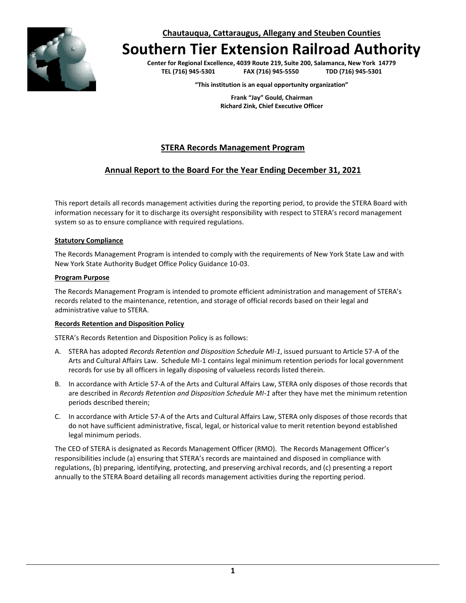**Chautauqua, Cattaraugus, Allegany and Steuben Counties**

# **Southern Tier Extension Railroad Authority**

**Center for Regional Excellence, 4039 Route 219, Suite 200, Salamanca, New York 14779 TEL (716) 945-5301 FAX (716) 945-5550 TDD (716) 945-5301**

**"This institution is an equal opportunity organization"**

**Frank "Jay" Gould, Chairman Richard Zink, Chief Executive Officer**

## **STERA Records Management Program**

### **Annual Report to the Board For the Year Ending December 31, 2021**

This report details all records management activities during the reporting period, to provide the STERA Board with information necessary for it to discharge its oversight responsibility with respect to STERA's record management system so as to ensure compliance with required regulations.

#### **Statutory Compliance**

The Records Management Program is intended to comply with the requirements of New York State Law and with New York State Authority Budget Office Policy Guidance 10-03.

#### **Program Purpose**

The Records Management Program is intended to promote efficient administration and management of STERA's records related to the maintenance, retention, and storage of official records based on their legal and administrative value to STERA.

#### **Records Retention and Disposition Policy**

STERA's Records Retention and Disposition Policy is as follows:

- A. STERA has adopted *Records Retention and Disposition Schedule MI-1*, issued pursuant to Article 57-A of the Arts and Cultural Affairs Law. Schedule MI-1 contains legal minimum retention periods for local government records for use by all officers in legally disposing of valueless records listed therein.
- B. In accordance with Article 57-A of the Arts and Cultural Affairs Law, STERA only disposes of those records that are described in *Records Retention and Disposition Schedule MI-1* after they have met the minimum retention periods described therein;
- C. In accordance with Article 57-A of the Arts and Cultural Affairs Law, STERA only disposes of those records that do not have sufficient administrative, fiscal, legal, or historical value to merit retention beyond established legal minimum periods.

The CEO of STERA is designated as Records Management Officer (RMO). The Records Management Officer's responsibilities include (a) ensuring that STERA's records are maintained and disposed in compliance with regulations, (b) preparing, identifying, protecting, and preserving archival records, and (c) presenting a report annually to the STERA Board detailing all records management activities during the reporting period.